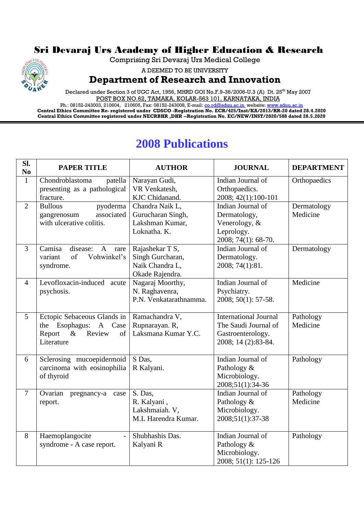## Sri Devaraj Urs Academy of Higher Education & Research

Comprising Sri Devaraj Urs Medical College



A DEEMED TO BE UNIVERSITY

## **Department of Research and Innovation**

Declared under Section 3 of UGC Act, 1956, MHRD GOI No.F.9-36/2006-U.3 (A) Dt. 25<sup>th</sup> May 2007 POST BOX NO.62, TAMAKA, KOLAR-563 101, KARNATAKA, INDIA

Ph.: 08152-243003, 210604, 210605, Fax: 08152-243008, E-mail: <u>co.rd@sduu.ac.in</u>\_website: <u>www.sduu.ac.in</u> **Central Ethics Committee Re- registered under CDSCO -Registration No. ECR/425/Inst/KA/2013/RR-20 dated 28.4.2020 Central Ethics Committee registered under NECRBHR ,DHR --Registration No. EC/NEW/INST/2020/588 dated 28.5.2020**

## **2008 Publications**

| SI.<br>N <sub>0</sub> | <b>PAPER TITLE</b>                                                                                                       | <b>AUTHOR</b>                                                             | <b>JOURNAL</b>                                                                                   | <b>DEPARTMENT</b>       |
|-----------------------|--------------------------------------------------------------------------------------------------------------------------|---------------------------------------------------------------------------|--------------------------------------------------------------------------------------------------|-------------------------|
| $\mathbf{1}$          | Chondroblastoma<br>patella<br>presenting as a pathological<br>fracture.                                                  | Narayan Gudi,<br>VR Venkatesh,<br>KJC Chidanand.                          | Indian Journal of<br>Orthopaedics.<br>2008; 42(1):100-101                                        | Orthopaedics            |
| $\overline{2}$        | <b>Bullous</b><br>pyoderma<br>associated<br>gangrenosum<br>with ulcerative colitis.                                      | Chandra Naik L,<br>Gurucharan Singh,<br>Lakshman Kumar,<br>Loknatha. K.   | Indian Journal of<br>Dermatology,<br>Venerology, &<br>Leprology.<br>2008; 74(1): 68-70.          | Dermatology<br>Medicine |
| $\overline{3}$        | disease:<br>Camisa<br>$\mathbf{A}$<br>rare<br>of<br>Vohwinkel's<br>variant<br>syndrome.                                  | Rajashekar T S,<br>Singh Gurcharan,<br>Naik Chandra L,<br>Okade Rajendra. | Indian Journal of<br>Dermatology.<br>2008; 74(1):81.                                             | Dermatology             |
| $\overline{4}$        | Levofloxacin-induced<br>acute<br>psychosis.                                                                              | Nagaraj Moorthy,<br>N. Raghavenra,<br>P.N. Venkatarathnamma.              | Indian Journal of<br>Psychiatry.<br>2008; 50(1): 57-58.                                          | Medicine                |
| $5\overline{)}$       | Ectopic Sebaceous Glands in   Ramachandra V,<br>the Esophagus:<br>A Case<br>$\&$<br>Report<br>Review<br>of<br>Literature | Rupnarayan. R,<br>Laksmana Kumar Y.C.                                     | <b>International Journal</b><br>The Saudi Journal of<br>Gastroenterology.<br>2008; 14 (2):83-84. | Pathology<br>Medicine   |
| 6                     | Sclerosing mucoepidermoid<br>carcinoma with eosinophilia<br>of thyroid                                                   | S Das,<br>R Kalyani.                                                      | Indian Journal of<br>Pathology &<br>Microbiology.<br>2008;51(1):34-36                            | Pathology               |
| $\overline{7}$        | Ovarian<br>pregnancy-a<br>case<br>report.                                                                                | S. Das,<br>R. Kalyani,<br>Lakshmaiah. V,<br>M.L Harendra Kumar.           | Indian Journal of<br>Pathology &<br>Microbiology.<br>2008;51(1):37-38                            | Pathology<br>Medicine   |
| 8                     | Haemoplangocite<br>$\blacksquare$<br>syndrome - A case report.                                                           | Shubhashis Das.<br>Kalyani R                                              | Indian Journal of<br>Pathology &<br>Microbiology.<br>2008; 51(1): 125-126                        | Pathology               |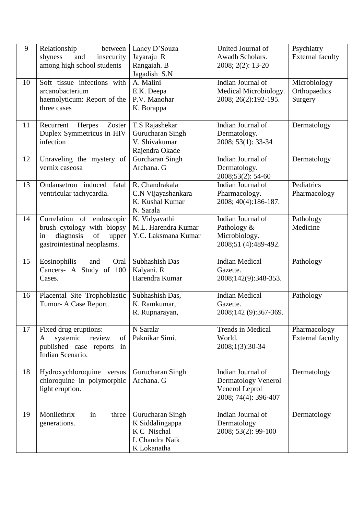| 9<br>10 | Relationship<br>between<br>shyness<br>and<br>insecurity<br>among high school students<br>Soft tissue infections with     | Lancy D'Souza<br>Jayaraju R<br>Rangaiah. B<br>Jagadish S.N<br>A. Malini             | United Journal of<br>Awadh Scholars.<br>2008; 2(2): 13-20<br>Indian Journal of            | Psychiatry<br><b>External faculty</b><br>Microbiology |
|---------|--------------------------------------------------------------------------------------------------------------------------|-------------------------------------------------------------------------------------|-------------------------------------------------------------------------------------------|-------------------------------------------------------|
|         | arcanobacterium<br>haemolyticum: Report of the<br>three cases                                                            | E.K. Deepa<br>P.V. Manohar<br>K. Borappa                                            | Medical Microbiology.<br>2008; 26(2):192-195.                                             | Orthopaedics<br>Surgery                               |
| 11      | Recurrent<br>Herpes<br>Zoster<br>Duplex Symmetricus in HIV<br>infection                                                  | T.S Rajashekar<br>Gurucharan Singh<br>V. Shivakumar<br>Rajendra Okade               | Indian Journal of<br>Dermatology.<br>2008; 53(1): 33-34                                   | Dermatology                                           |
| 12      | Unraveling the mystery of<br>vernix caseosa                                                                              | Gurcharan Singh<br>Archana. G                                                       | Indian Journal of<br>Dermatology.<br>2008;53(2): 54-60                                    | Dermatology                                           |
| 13      | Ondansetron induced fatal<br>ventricular tachycardia.                                                                    | R. Chandrakala<br>C.N Vijayashankara<br>K. Kushal Kumar<br>N. Sarala                | Indian Journal of<br>Pharmacology.<br>2008; 40(4):186-187.                                | Pediatrics<br>Pharmacology                            |
| 14      | Correlation of endoscopic<br>brush cytology with biopsy<br>diagnosis<br>of<br>upper<br>in<br>gastrointestinal neoplasms. | K. Vidyavathi<br>M.L. Harendra Kumar<br>Y.C. Laksmana Kumar                         | Indian Journal of<br>Pathology &<br>Microbiology.<br>2008;51 (4):489-492.                 | Pathology<br>Medicine                                 |
| 15      | Eosinophilis<br>and<br>Oral<br>Cancers- A Study of 100<br>Cases.                                                         | Subhashish Das<br>Kalyani. R<br>Harendra Kumar                                      | <b>Indian Medical</b><br>Gazette.<br>2008;142(9):348-353.                                 | Pathology                                             |
| 16      | Placental Site Trophoblastic<br>Tumor- A Case Report.                                                                    | Subhashish Das,<br>K. Ramkumar,<br>R. Rupnarayan,                                   | <b>Indian Medical</b><br>Gazette.<br>2008;142 (9):367-369.                                | Pathology                                             |
| 17      | Fixed drug eruptions:<br>systemic<br>review<br>of<br>A<br>published case reports<br>in<br>Indian Scenario.               | N Sarala<br>Paknikar Simi.                                                          | Trends in Medical<br>World.<br>2008;1(3):30-34                                            | Pharmacology<br><b>External faculty</b>               |
| 18      | Hydroxychloroquine versus<br>chloroquine in polymorphic<br>light eruption.                                               | Gurucharan Singh<br>Archana. G                                                      | Indian Journal of<br><b>Dermatology Venerol</b><br>Venerol Leprol<br>2008; 74(4): 396-407 | Dermatology                                           |
| 19      | Monilethrix<br>in<br>three<br>generations.                                                                               | Gurucharan Singh<br>K Siddalingappa<br>K C Nischal<br>L Chandra Naik<br>K Lokanatha | Indian Journal of<br>Dermatology<br>2008; 53(2): 99-100                                   | Dermatology                                           |